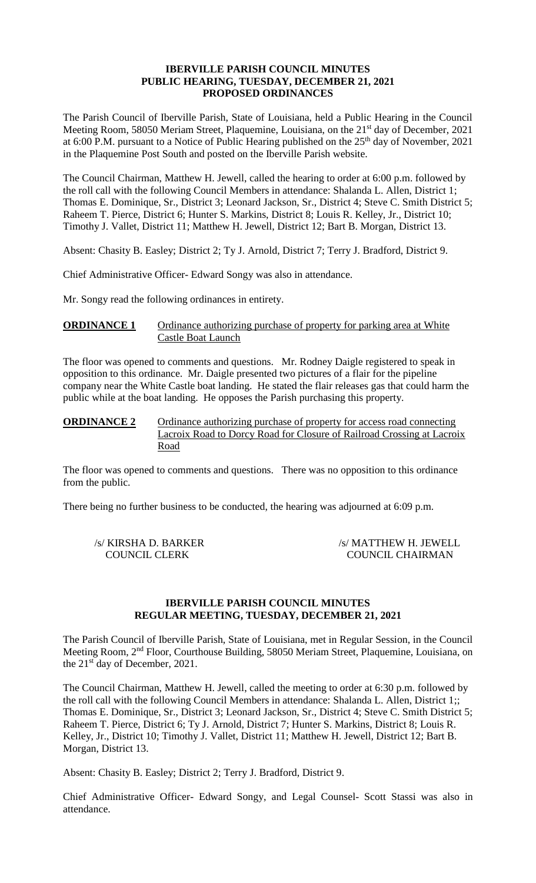#### **IBERVILLE PARISH COUNCIL MINUTES PUBLIC HEARING, TUESDAY, DECEMBER 21, 2021 PROPOSED ORDINANCES**

The Parish Council of Iberville Parish, State of Louisiana, held a Public Hearing in the Council Meeting Room, 58050 Meriam Street, Plaquemine, Louisiana, on the 21<sup>st</sup> day of December, 2021 at 6:00 P.M. pursuant to a Notice of Public Hearing published on the 25<sup>th</sup> day of November, 2021 in the Plaquemine Post South and posted on the Iberville Parish website.

The Council Chairman, Matthew H. Jewell, called the hearing to order at 6:00 p.m. followed by the roll call with the following Council Members in attendance: Shalanda L. Allen, District 1; Thomas E. Dominique, Sr., District 3; Leonard Jackson, Sr., District 4; Steve C. Smith District 5; Raheem T. Pierce, District 6; Hunter S. Markins, District 8; Louis R. Kelley, Jr., District 10; Timothy J. Vallet, District 11; Matthew H. Jewell, District 12; Bart B. Morgan, District 13.

Absent: Chasity B. Easley; District 2; Ty J. Arnold, District 7; Terry J. Bradford, District 9.

Chief Administrative Officer- Edward Songy was also in attendance.

Mr. Songy read the following ordinances in entirety.

## **ORDINANCE 1** Ordinance authorizing purchase of property for parking area at White Castle Boat Launch

The floor was opened to comments and questions. Mr. Rodney Daigle registered to speak in opposition to this ordinance. Mr. Daigle presented two pictures of a flair for the pipeline company near the White Castle boat landing. He stated the flair releases gas that could harm the public while at the boat landing. He opposes the Parish purchasing this property.

## **ORDINANCE 2** Ordinance authorizing purchase of property for access road connecting Lacroix Road to Dorcy Road for Closure of Railroad Crossing at Lacroix Road

The floor was opened to comments and questions. There was no opposition to this ordinance from the public.

There being no further business to be conducted, the hearing was adjourned at 6:09 p.m.

/s/ KIRSHA D. BARKER /s/ MATTHEW H. JEWELL COUNCIL CLERK COUNCIL CHAIRMAN

#### **IBERVILLE PARISH COUNCIL MINUTES REGULAR MEETING, TUESDAY, DECEMBER 21, 2021**

The Parish Council of Iberville Parish, State of Louisiana, met in Regular Session, in the Council Meeting Room, 2nd Floor, Courthouse Building, 58050 Meriam Street, Plaquemine, Louisiana, on the 21<sup>st</sup> day of December, 2021.

The Council Chairman, Matthew H. Jewell, called the meeting to order at 6:30 p.m. followed by the roll call with the following Council Members in attendance: Shalanda L. Allen, District 1;; Thomas E. Dominique, Sr., District 3; Leonard Jackson, Sr., District 4; Steve C. Smith District 5; Raheem T. Pierce, District 6; Ty J. Arnold, District 7; Hunter S. Markins, District 8; Louis R. Kelley, Jr., District 10; Timothy J. Vallet, District 11; Matthew H. Jewell, District 12; Bart B. Morgan, District 13.

Absent: Chasity B. Easley; District 2; Terry J. Bradford, District 9.

Chief Administrative Officer- Edward Songy, and Legal Counsel- Scott Stassi was also in attendance.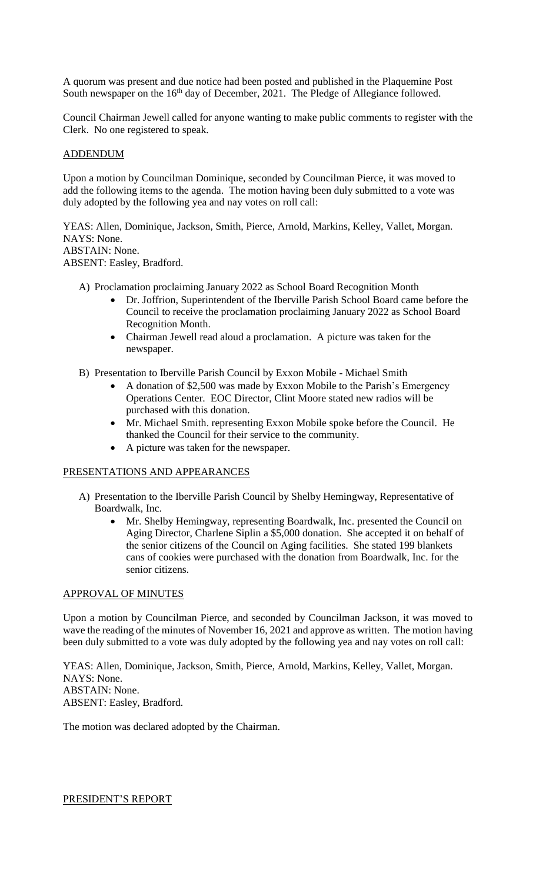A quorum was present and due notice had been posted and published in the Plaquemine Post South newspaper on the 16<sup>th</sup> day of December, 2021. The Pledge of Allegiance followed.

Council Chairman Jewell called for anyone wanting to make public comments to register with the Clerk. No one registered to speak.

#### ADDENDUM

Upon a motion by Councilman Dominique, seconded by Councilman Pierce, it was moved to add the following items to the agenda. The motion having been duly submitted to a vote was duly adopted by the following yea and nay votes on roll call:

YEAS: Allen, Dominique, Jackson, Smith, Pierce, Arnold, Markins, Kelley, Vallet, Morgan. NAYS: None. ABSTAIN: None. ABSENT: Easley, Bradford.

- A) Proclamation proclaiming January 2022 as School Board Recognition Month
	- Dr. Joffrion, Superintendent of the Iberville Parish School Board came before the Council to receive the proclamation proclaiming January 2022 as School Board Recognition Month.
	- Chairman Jewell read aloud a proclamation. A picture was taken for the newspaper.
- B) Presentation to Iberville Parish Council by Exxon Mobile Michael Smith
	- A donation of \$2,500 was made by Exxon Mobile to the Parish's Emergency Operations Center. EOC Director, Clint Moore stated new radios will be purchased with this donation.
	- Mr. Michael Smith. representing Exxon Mobile spoke before the Council. He thanked the Council for their service to the community.
	- A picture was taken for the newspaper.

## PRESENTATIONS AND APPEARANCES

- A) Presentation to the Iberville Parish Council by Shelby Hemingway, Representative of Boardwalk, Inc.
	- Mr. Shelby Hemingway, representing Boardwalk, Inc. presented the Council on Aging Director, Charlene Siplin a \$5,000 donation. She accepted it on behalf of the senior citizens of the Council on Aging facilities. She stated 199 blankets cans of cookies were purchased with the donation from Boardwalk, Inc. for the senior citizens.

#### APPROVAL OF MINUTES

Upon a motion by Councilman Pierce, and seconded by Councilman Jackson, it was moved to wave the reading of the minutes of November 16, 2021 and approve as written. The motion having been duly submitted to a vote was duly adopted by the following yea and nay votes on roll call:

YEAS: Allen, Dominique, Jackson, Smith, Pierce, Arnold, Markins, Kelley, Vallet, Morgan. NAYS: None. ABSTAIN: None. ABSENT: Easley, Bradford.

The motion was declared adopted by the Chairman.

PRESIDENT'S REPORT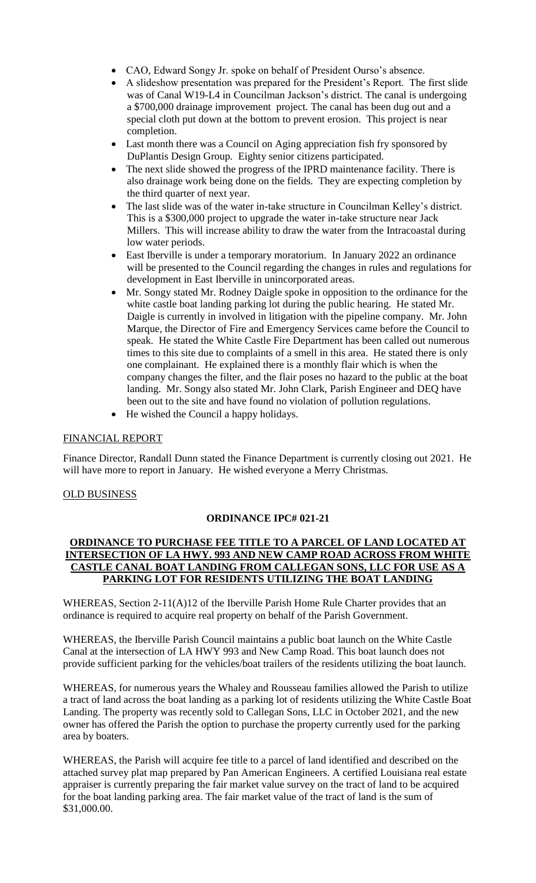- CAO, Edward Songy Jr. spoke on behalf of President Ourso's absence.
- A slideshow presentation was prepared for the President's Report. The first slide was of Canal W19-L4 in Councilman Jackson's district. The canal is undergoing a \$700,000 drainage improvement project. The canal has been dug out and a special cloth put down at the bottom to prevent erosion. This project is near completion.
- Last month there was a Council on Aging appreciation fish fry sponsored by DuPlantis Design Group. Eighty senior citizens participated.
- The next slide showed the progress of the IPRD maintenance facility. There is also drainage work being done on the fields. They are expecting completion by the third quarter of next year.
- The last slide was of the water in-take structure in Councilman Kelley's district. This is a \$300,000 project to upgrade the water in-take structure near Jack Millers. This will increase ability to draw the water from the Intracoastal during low water periods.
- East Iberville is under a temporary moratorium. In January 2022 an ordinance will be presented to the Council regarding the changes in rules and regulations for development in East Iberville in unincorporated areas.
- Mr. Songy stated Mr. Rodney Daigle spoke in opposition to the ordinance for the white castle boat landing parking lot during the public hearing. He stated Mr. Daigle is currently in involved in litigation with the pipeline company. Mr. John Marque, the Director of Fire and Emergency Services came before the Council to speak. He stated the White Castle Fire Department has been called out numerous times to this site due to complaints of a smell in this area. He stated there is only one complainant. He explained there is a monthly flair which is when the company changes the filter, and the flair poses no hazard to the public at the boat landing. Mr. Songy also stated Mr. John Clark, Parish Engineer and DEQ have been out to the site and have found no violation of pollution regulations.
- He wished the Council a happy holidays.

# FINANCIAL REPORT

Finance Director, Randall Dunn stated the Finance Department is currently closing out 2021. He will have more to report in January. He wished everyone a Merry Christmas.

## OLD BUSINESS

## **ORDINANCE IPC# 021-21**

## **ORDINANCE TO PURCHASE FEE TITLE TO A PARCEL OF LAND LOCATED AT INTERSECTION OF LA HWY. 993 AND NEW CAMP ROAD ACROSS FROM WHITE CASTLE CANAL BOAT LANDING FROM CALLEGAN SONS, LLC FOR USE AS A PARKING LOT FOR RESIDENTS UTILIZING THE BOAT LANDING**

WHEREAS, Section 2-11(A)12 of the Iberville Parish Home Rule Charter provides that an ordinance is required to acquire real property on behalf of the Parish Government.

WHEREAS, the Iberville Parish Council maintains a public boat launch on the White Castle Canal at the intersection of LA HWY 993 and New Camp Road. This boat launch does not provide sufficient parking for the vehicles/boat trailers of the residents utilizing the boat launch.

WHEREAS, for numerous years the Whaley and Rousseau families allowed the Parish to utilize a tract of land across the boat landing as a parking lot of residents utilizing the White Castle Boat Landing. The property was recently sold to Callegan Sons, LLC in October 2021, and the new owner has offered the Parish the option to purchase the property currently used for the parking area by boaters.

WHEREAS, the Parish will acquire fee title to a parcel of land identified and described on the attached survey plat map prepared by Pan American Engineers. A certified Louisiana real estate appraiser is currently preparing the fair market value survey on the tract of land to be acquired for the boat landing parking area. The fair market value of the tract of land is the sum of \$31,000.00.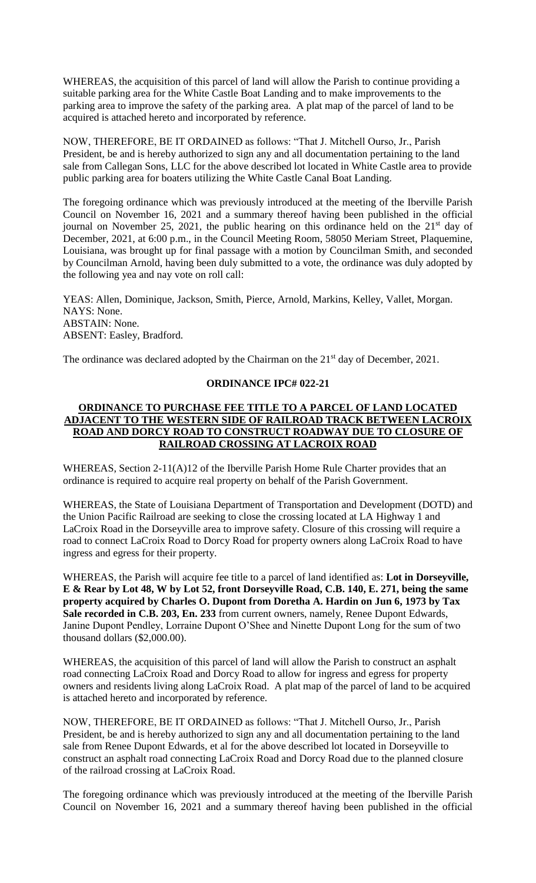WHEREAS, the acquisition of this parcel of land will allow the Parish to continue providing a suitable parking area for the White Castle Boat Landing and to make improvements to the parking area to improve the safety of the parking area. A plat map of the parcel of land to be acquired is attached hereto and incorporated by reference.

NOW, THEREFORE, BE IT ORDAINED as follows: "That J. Mitchell Ourso, Jr., Parish President, be and is hereby authorized to sign any and all documentation pertaining to the land sale from Callegan Sons, LLC for the above described lot located in White Castle area to provide public parking area for boaters utilizing the White Castle Canal Boat Landing.

The foregoing ordinance which was previously introduced at the meeting of the Iberville Parish Council on November 16, 2021 and a summary thereof having been published in the official journal on November 25, 2021, the public hearing on this ordinance held on the  $21<sup>st</sup>$  day of December, 2021, at 6:00 p.m., in the Council Meeting Room, 58050 Meriam Street, Plaquemine, Louisiana, was brought up for final passage with a motion by Councilman Smith, and seconded by Councilman Arnold, having been duly submitted to a vote, the ordinance was duly adopted by the following yea and nay vote on roll call:

YEAS: Allen, Dominique, Jackson, Smith, Pierce, Arnold, Markins, Kelley, Vallet, Morgan. NAYS: None. ABSTAIN: None. ABSENT: Easley, Bradford.

The ordinance was declared adopted by the Chairman on the 21<sup>st</sup> day of December, 2021.

#### **ORDINANCE IPC# 022-21**

## **ORDINANCE TO PURCHASE FEE TITLE TO A PARCEL OF LAND LOCATED ADJACENT TO THE WESTERN SIDE OF RAILROAD TRACK BETWEEN LACROIX ROAD AND DORCY ROAD TO CONSTRUCT ROADWAY DUE TO CLOSURE OF RAILROAD CROSSING AT LACROIX ROAD**

WHEREAS, Section 2-11(A)12 of the Iberville Parish Home Rule Charter provides that an ordinance is required to acquire real property on behalf of the Parish Government.

WHEREAS, the State of Louisiana Department of Transportation and Development (DOTD) and the Union Pacific Railroad are seeking to close the crossing located at LA Highway 1 and LaCroix Road in the Dorseyville area to improve safety. Closure of this crossing will require a road to connect LaCroix Road to Dorcy Road for property owners along LaCroix Road to have ingress and egress for their property.

WHEREAS, the Parish will acquire fee title to a parcel of land identified as: **Lot in Dorseyville, E & Rear by Lot 48, W by Lot 52, front Dorseyville Road, C.B. 140, E. 271, being the same property acquired by Charles O. Dupont from Doretha A. Hardin on Jun 6, 1973 by Tax Sale recorded in C.B. 203, En. 233** from current owners, namely, Renee Dupont Edwards, Janine Dupont Pendley, Lorraine Dupont O'Shee and Ninette Dupont Long for the sum of two thousand dollars (\$2,000.00).

WHEREAS, the acquisition of this parcel of land will allow the Parish to construct an asphalt road connecting LaCroix Road and Dorcy Road to allow for ingress and egress for property owners and residents living along LaCroix Road. A plat map of the parcel of land to be acquired is attached hereto and incorporated by reference.

NOW, THEREFORE, BE IT ORDAINED as follows: "That J. Mitchell Ourso, Jr., Parish President, be and is hereby authorized to sign any and all documentation pertaining to the land sale from Renee Dupont Edwards, et al for the above described lot located in Dorseyville to construct an asphalt road connecting LaCroix Road and Dorcy Road due to the planned closure of the railroad crossing at LaCroix Road.

The foregoing ordinance which was previously introduced at the meeting of the Iberville Parish Council on November 16, 2021 and a summary thereof having been published in the official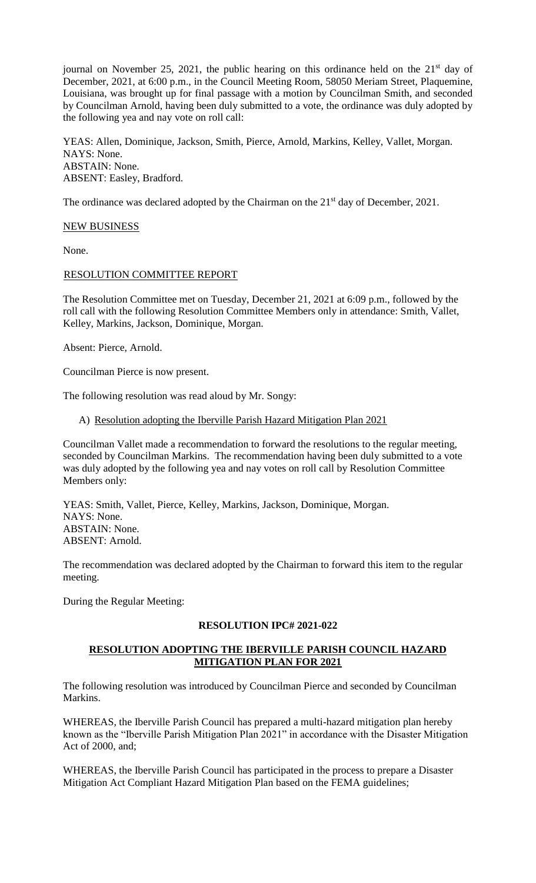journal on November 25, 2021, the public hearing on this ordinance held on the  $21<sup>st</sup>$  day of December, 2021, at 6:00 p.m., in the Council Meeting Room, 58050 Meriam Street, Plaquemine, Louisiana, was brought up for final passage with a motion by Councilman Smith, and seconded by Councilman Arnold, having been duly submitted to a vote, the ordinance was duly adopted by the following yea and nay vote on roll call:

YEAS: Allen, Dominique, Jackson, Smith, Pierce, Arnold, Markins, Kelley, Vallet, Morgan. NAYS: None. ABSTAIN: None. ABSENT: Easley, Bradford.

The ordinance was declared adopted by the Chairman on the 21<sup>st</sup> day of December, 2021.

#### NEW BUSINESS

None.

## RESOLUTION COMMITTEE REPORT

The Resolution Committee met on Tuesday, December 21, 2021 at 6:09 p.m., followed by the roll call with the following Resolution Committee Members only in attendance: Smith, Vallet, Kelley, Markins, Jackson, Dominique, Morgan.

Absent: Pierce, Arnold.

Councilman Pierce is now present.

The following resolution was read aloud by Mr. Songy:

A) Resolution adopting the Iberville Parish Hazard Mitigation Plan 2021

Councilman Vallet made a recommendation to forward the resolutions to the regular meeting, seconded by Councilman Markins. The recommendation having been duly submitted to a vote was duly adopted by the following yea and nay votes on roll call by Resolution Committee Members only:

YEAS: Smith, Vallet, Pierce, Kelley, Markins, Jackson, Dominique, Morgan. NAYS: None. ABSTAIN: None. ABSENT: Arnold.

The recommendation was declared adopted by the Chairman to forward this item to the regular meeting.

During the Regular Meeting:

## **RESOLUTION IPC# 2021-022**

# **RESOLUTION ADOPTING THE IBERVILLE PARISH COUNCIL HAZARD MITIGATION PLAN FOR 2021**

The following resolution was introduced by Councilman Pierce and seconded by Councilman Markins.

WHEREAS, the Iberville Parish Council has prepared a multi-hazard mitigation plan hereby known as the "Iberville Parish Mitigation Plan 2021" in accordance with the Disaster Mitigation Act of 2000, and;

WHEREAS, the Iberville Parish Council has participated in the process to prepare a Disaster Mitigation Act Compliant Hazard Mitigation Plan based on the FEMA guidelines;